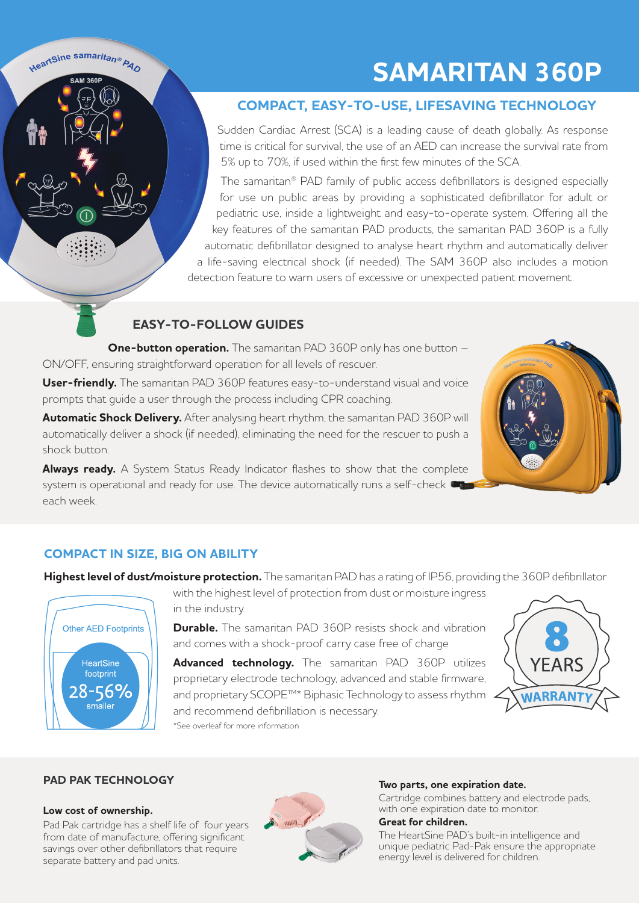## **SAMARITAN 360P**

#### **COMPACT, EASY-TO-USE, LIFESAVING TECHNOLOGY**

Sudden Cardiac Arrest (SCA) is a leading cause of death globally. As response time is critical for survival, the use of an AED can increase the survival rate from 5% up to 70%, if used within the first few minutes of the SCA.

The samaritan® PAD family of public access defibrillators is designed especially for use un public areas by providing a sophisticated defibrillator for adult or pediatric use, inside a lightweight and easy-to-operate system. Offering all the key features of the samaritan PAD products, the samaritan PAD 360P is a fully automatic defibrillator designed to analyse heart rhythm and automatically deliver a life-saving electrical shock (if needed). The SAM 360P also includes a motion detection feature to warn users of excessive or unexpected patient movement.

#### **EASY-TO-FOLLOW GUIDES**

**One-button operation.** The samaritan PAD 360P only has one button – ON/OFF, ensuring straightforward operation for all levels of rescuer.

**User-friendly.** The samaritan PAD 360P features easy-to-understand visual and voice prompts that guide a user through the process including CPR coaching.

**Automatic Shock Delivery.** After analysing heart rhythm, the samaritan PAD 360P will automatically deliver a shock (if needed), eliminating the need for the rescuer to push a shock button.

**Always ready.** A System Status Ready Indicator flashes to show that the complete system is operational and ready for use. The device automatically runs a self-check  $\blacksquare$ each week.



**Highest level of dust/moisture protection.** The samaritan PAD has a rating of IP56, providing the 360P defibrillator



HeartSine samaritan® PAD SAM 360F

> with the highest level of protection from dust or moisture ingress in the industry.

> **Durable.** The samaritan PAD 360P resists shock and vibration and comes with a shock-proof carry case free of charge

> Advanced technology. The samaritan PAD 360P utilizes proprietary electrode technology, advanced and stable firmware, and proprietary SCOPE™\* Biphasic Technology to assess rhythm and recommend defibrillation is necessary. \*See overleaf for more information



#### **PAD PAK TECHNOLOGY**

#### **Low cost of ownership.**

Pad Pak cartridge has a shelf life of four years from date of manufacture, offering significant savings over other defibrillators that require separate battery and pad units.



#### **Two parts, one expiration date.**

Cartridge combines battery and electrode pads, with one expiration date to monitor.

#### **Great for children.**

The HeartSine PAD's built-in intelligence and unique pediatric Pad-Pak ensure the appropriate energy level is delivered for children.